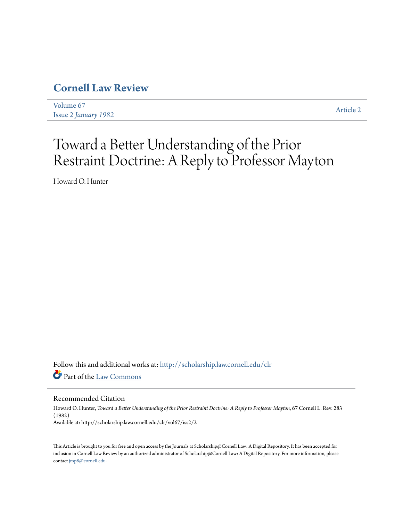## **[Cornell Law Review](http://scholarship.law.cornell.edu/clr?utm_source=scholarship.law.cornell.edu%2Fclr%2Fvol67%2Fiss2%2F2&utm_medium=PDF&utm_campaign=PDFCoverPages)**

[Volume 67](http://scholarship.law.cornell.edu/clr/vol67?utm_source=scholarship.law.cornell.edu%2Fclr%2Fvol67%2Fiss2%2F2&utm_medium=PDF&utm_campaign=PDFCoverPages) Issue 2 *[January 1982](http://scholarship.law.cornell.edu/clr/vol67/iss2?utm_source=scholarship.law.cornell.edu%2Fclr%2Fvol67%2Fiss2%2F2&utm_medium=PDF&utm_campaign=PDFCoverPages)* [Article 2](http://scholarship.law.cornell.edu/clr/vol67/iss2/2?utm_source=scholarship.law.cornell.edu%2Fclr%2Fvol67%2Fiss2%2F2&utm_medium=PDF&utm_campaign=PDFCoverPages)

# Toward a Better Understanding of the Prior Restraint Doctrine: A Reply to Professor Mayton

Howard O. Hunter

Follow this and additional works at: [http://scholarship.law.cornell.edu/clr](http://scholarship.law.cornell.edu/clr?utm_source=scholarship.law.cornell.edu%2Fclr%2Fvol67%2Fiss2%2F2&utm_medium=PDF&utm_campaign=PDFCoverPages) Part of the [Law Commons](http://network.bepress.com/hgg/discipline/578?utm_source=scholarship.law.cornell.edu%2Fclr%2Fvol67%2Fiss2%2F2&utm_medium=PDF&utm_campaign=PDFCoverPages)

#### Recommended Citation

Howard O. Hunter, *Toward a Better Understanding of the Prior Restraint Doctrine: A Reply to Professor Mayton*, 67 Cornell L. Rev. 283 (1982) Available at: http://scholarship.law.cornell.edu/clr/vol67/iss2/2

This Article is brought to you for free and open access by the Journals at Scholarship@Cornell Law: A Digital Repository. It has been accepted for inclusion in Cornell Law Review by an authorized administrator of Scholarship@Cornell Law: A Digital Repository. For more information, please contact [jmp8@cornell.edu.](mailto:jmp8@cornell.edu)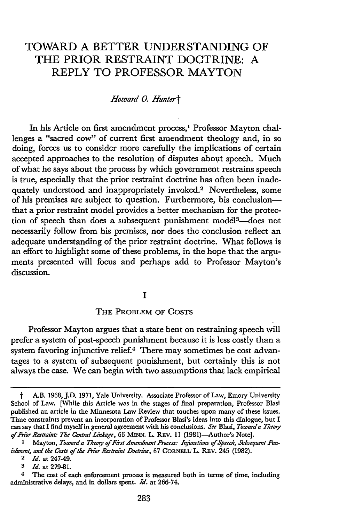### TOWARD A BETTER UNDERSTANDING OF THE PRIOR RESTRAINT DOCTRINE: A REPLY TO PROFESSOR MAYTON

#### *Howard 0. Huntert*

In his Article on first amendment process,' Professor Mayton challenges a "sacred cow" of current first amendment theology and, in so doing, forces us to consider more carefully the implications of certain accepted approaches to the resolution of disputes about speech. Much of what he says about the process by which government restrains speech is true, especially that the prior restraint doctrine has often been inadequately understood and inappropriately invoked.<sup>2</sup> Nevertheless, some of his premises are subject to question. Furthermore, his conclusionthat a prior restraint model provides a better mechanism for the protection of speech than does a subsequent punishment model<sup>3</sup>-does not necessarily follow from his premises, nor does the conclusion reflect an adequate understanding of the prior restraint doctrine. What follows is an effort to highlight some of these problems, in the hope that the arguments presented will focus and perhaps add to Professor Mayton's discussion.

#### **I**

#### THE PROBLEM OF COSTS

Professor Mayton argues that a state bent on restraining speech will prefer a system of post-speech punishment because it is less costly than a system favoring injunctive relief.<sup>4</sup> There may sometimes be cost advantages to a system of subsequent punishment, but certainly this is not always the case. We can begin with two assumptions that lack empirical

t A.B. 1968, J.D. 1971, Yale University. Associate Professor of Law, Emory University School of Law. [While this Article was in the stages of final preparation, Professor Blasi published an article in the Minnesota Law Review that touches upon many of these issues. Time constraints prevent an incorporation of Professor Blasi's ideas into this dialogue, but I can say that I find myselfin general agreement with his conclusions. *Se* Blasi, *Towarda Theory of Prior Restraint The Central Linkage, 66* **MINN.** L. REv. **11** (1981)-Author's Note].

<sup>&</sup>lt;sup>1</sup> Mayton, *Toward a Theory of First Amendment Process: Injunctions of Speech, Subsequent Punishment, and the Costs of the Prior Restraint Doctrine, 67 CORNELL L. REV. 245 (1982).* 

**<sup>2</sup>** *Id.* at 247-49.

**<sup>3</sup>** *Id.* at 279-81.

<sup>&</sup>lt;sup>4</sup> The cost of each enforcement process is measured both in terms of time, including administrative delays, and in dollars spent. *Id.* at 266-74.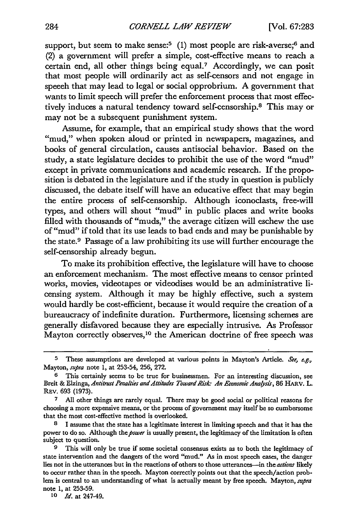support, but seem to make sense:<sup>5</sup> (1) most people are risk-averse;<sup>6</sup> and (2) a government will prefer a simple, cost-effective means to reach a certain end, all other things being equal.<sup>7</sup> Accordingly, we can posit that most people will ordinarily act as self-censors and not engage in speech that may lead to legal or social opprobrium. A government that wants to limit speech will prefer the enforcement process that most effectively induces a natural tendency toward self-censorship.8 This may or may not be a subsequent punishment system.

Assume, for example, that an empirical study shows that the word "mud," when spoken aloud or printed in newspapers, magazines, and books of general circulation, causes antisocial behavior. Based on the study, a state legislature decides to prohibit the use of the word "mud" except in private communications and academic research. If the proposition is debated in the legislature and if the study in question is publicly discussed, the debate itself will have an educative effect that may begin the entire process of self-censorship. Although iconoclasts, free-will types, and others will shout "mud" in public places and write books filled with thousands of "muds," the average citizen will eschew the use of "mud" if told that its use leads to bad ends and may be punishable by the state.9 Passage of a law prohibiting its use will further encourage the self-censorship already begun.

To make its prohibition effective, the legislature will have to choose an enforcement mechanism. The most effective means to censor printed works, movies, videotapes or videodiscs would be an administrative licensing system. Although it may be highly effective, such a system would hardly be cost-efficient, because it would require the creation of a bureaucracy of indefinite duration. Furthermore, licensing schemes are generally disfavored because they are especially intrusive. As Professor Mayton correctly observes,10 the American doctrine of free speech was

**<sup>5</sup>** These assumptions are developed at various points in Mayton's Article. *See, e.g.,* Mayton, *supra* note 1, at 253-54, 256, 272.

**<sup>6</sup>** This certainly seems to be true for businessmen. For an interesting discussion, see Breit & Elzinga, *Antitrust Penalties and Attiludes Toward Risk: An Economic Analysis,* **86** HARv. *L.* REv. 693 (1973).

**<sup>7</sup>** All other things are rarely equal. There may be good social or political reasons for choosing a more expensive means, or the process of government may itself be so cumbersome that the most cost-effective method is overlooked.

**<sup>8</sup>** 1 assume that the state has a legitimate interest in limiting speech and that it has the power to do so. Although the *power* is usually present, the legitimacy of the limitation is often subject to question.

This will only be true if some societal consensus exists as to both the legitimacy of state intervention and the dangers of the word "mud." As in most speech cases, the danger lies not in the utterances but in the reactions of others to those utterances--in the *actions* likely to occur rather than in the speech. Mayton correctly points out that the speech/action problem is central to an understanding of what is actually meant **by** free speech. Mayton, *sura* note 1, at 253-59.

*<sup>10</sup> Id.* at 247-49.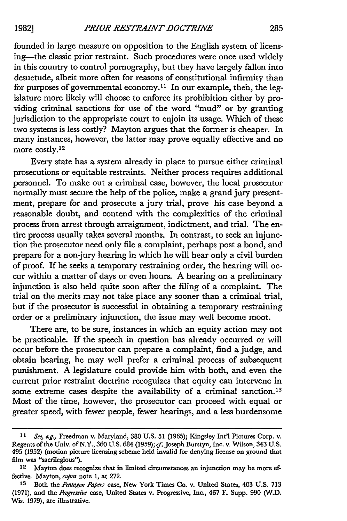founded in large measure on opposition to the English system of licensing-the classic prior restraint. Such procedures were once used widely in this country to control pornography, but they have largely fallen into desuetude, albeit more often for reasons of constitutional infirmity than for purposes of governmental economy.<sup>11</sup> In our example, then, the legislature more likely will choose to enforce its prohibition either by providing criminal sanctions for use of the word "mud" or by granting jurisdiction to the appropriate court to enjoin its usage. Which of these two systems is less costly? Mayton argues that the former is cheaper. In many instances, however, the latter may prove equally effective and no more costly.12

Every state has a system already in place to pursue either criminal prosecutions or equitable restraints. Neither process requires additional personnel. To make out a criminal case, however, the local prosecutor normally must secure the help of the police, make a grand jury presentment, prepare for and prosecute a jury trial, prove his case beyond a reasonable doubt, and contend with the complexities of the criminal process from arrest through arraignment, indictment, and trial. The entire process usually takes several months. In contrast, to seek an injunction the prosecutor need only file a complaint, perhaps post a bond, and prepare for a non-jury hearing in which he will bear only a civil burden of proof. If he seeks a temporary restraining order, the hearing will occur within a matter of days or even hours. A hearing on a preliminary injunction is also held quite soon after the filing of a complaint. The trial on the merits may not take place any sooner than a criminal trial, but if the prosecutor is successful in obtaining a temporary restraining order or a preliminary injunction, the issue may well become moot.

There are, to be sure, instances in which an equity action may not be practicable. If the speech in question has already occurred or will occur before the prosecutor can prepare a complaint, find a judge, and obtain hearing, he may well prefer a criminal process of subsequent punishment. **A** legislature could provide him with both, and even the current prior restraint doctrine recoguizes that equity can intervene in some extreme cases despite the availability of a criminal sanction.<sup>13</sup> Most of the time, however, the prosecutor can proceed with equal or greater speed, with fewer people, fewer hearings, and a less burdensome

*<sup>11</sup>Se, e.g.,* Freedman v. Maryland, **380 U.S.** 51 (1965); Kingsley Int'l Pictures Corp. v. Regents of the Univ. of N.Y., **360 U.S.** 684 **(1959);** *cf.* Joseph Burstyn, Inc. v. Wilson, 343 **U.S.** 495 **(1952)** (motion picture licensing scheme held invalid for denying license on ground that film was "sacrilegious").

**<sup>12</sup>** Mayton does recognize that in limited circumstances an injunction may **be** more effective. Mayton, *supra* note **1,** at **272.**

**<sup>13</sup>** Both the *Pentagon Papers* case, New York Times Co. v. United States, 403 **U.S. 713 (1971),** and the *Progressive* case, United States v. Progressive, Inc., 467 F. Supp. **990 (W.D.** Wis. 1979), are illnstrative.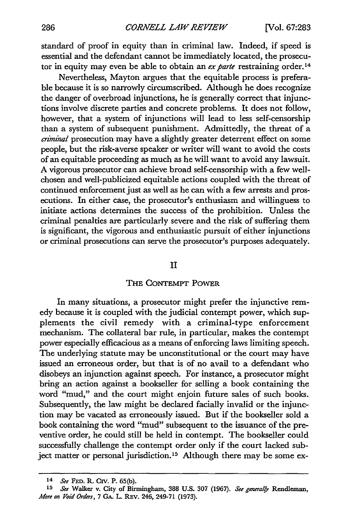standard of proof in equity than in criminal law. Indeed, if speed is essential and the defendant cannot be immediately located, the prosecutor in equity may even be able to obtain an ex parte restraining order.<sup>14</sup>

Nevertheless, Mayton argues that the equitable process is preferable because it is so narrowly circumscribed. Although he does recognize the danger of overbroad injunctions, he is generally correct that injunctions involve discrete parties and concrete problems. It does not follow, however, that a system of injunctions will lead to less self-censorship than a system of subsequent punishment. Admittedly, the threat of a *aiminal* prosecution may have a slightly greater deterrent effect on some people, but the risk-averse speaker or writer will want to avoid the costs of an equitable proceeding as much as he will want to avoid any lawsuit. A vigorous prosecutor can achieve broad self-censorship with a few wellchosen and well-publicized equitable actions coupled with the threat of continued enforcement just as well as he can with a few arrests and prosecutions. In either case, the prosecutor's enthusiasm and willingness to initiate actions determines the success of the prohibition. Unless the criminal penalties are particularly severe and the risk of suffering them is significant, the vigorous and enthusiastic pursuit of either injunctions or criminal prosecutions can serve the prosecutor's purposes adequately.

#### II

#### THE CoNTEMPT POWER

In many situations, a prosecutor might prefer the injunctive remedy because it is coupled with the judicial contempt power, which supplements the civil remedy with a criminal-type enforcement mechanism. The collateral bar rule, in particular, makes the contempt power especially efficacious as a means of enforcing laws limiting speech. The underlying statute may be unconstitutional or the court may have issued an erroneous order, but that is of no avail to a defendant who disobeys an injunction against speech. For instance, a prosecutor might bring an action against a bookseller for selling a book containing the word "mud," and the court might enjoin future sales of such books. Subsequently, the law might be declared facially invalid or the injunction may be vacated as erroneously issued. But if the bookseller sold a book containing the word "mud" subsequent to the issuance of the preventive order, he could still be held in contempt. The bookseller could successfully challenge the contempt order only if the court lacked subject matter or personal jurisdiction.<sup>15</sup> Although there may be some ex-

<sup>14</sup>*See* **FED.** R. Civ. P. **65(b). <sup>15</sup>***Se* Walker v. City of Birmingham, **388 U.S. 307** (1967). *See genera/fy* Rendeman, *Mfore on Void Orders,* 7 GA. L. REv. 246, 249-71 (1973).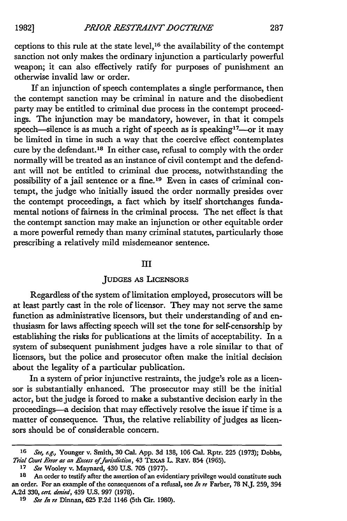**1982]**

ceptions to this rule at the state level, 16 the availability of the contempt sanction not only makes the ordinary injunction a particularly powerful weapon; it can also effectively ratify for purposes of punishment an otherwise invalid law or order.

If an injunction of speech contemplates a single performance, then the contempt sanction may be criminal in nature and the disobedient party may be entitled to criminal due process in the contempt proceedings. The injunction may be mandatory, however, in that it compels speech-silence is as much a right of speech as is speaking<sup>17</sup>-or it may be limited in time in such a way that the coercive effect contemplates cure by the defendant.18 In either case, refusal to comply with the order normally will be treated as an instance of civil contempt and the defendant will not be entitled to criminal due process, notwithstanding the possibility of a jail sentence or a fine. 19 Even in cases of criminal contempt, the judge who initially issued the order normally presides over the contempt proceedings, a fact which by itself shortchanges fundamental notions of fairness in the criminal process. The net effect is that the contempt sanction may make an injunction or other equitable order a more powerful remedy than many criminal statutes, particularly those prescribing a relatively mild misdemeanor sentence.

#### III

#### JUDGES AS LICENSORS

Regardless of the system of limitation employed, prosecutors will be at least partly cast in the role of licensor. They may not serve the same function as administrative licensors, but their understanding of and enthusiasm for laws affecting speech will set the tone for self-censorship by establishing the risks for publications at the limits of acceptability. In a system of subsequent punishment judges have a role similar to that of licensors, but the police and prosecutor often make the initial decision about the legality of a particular publication.

In a system of prior injunctive restraints, the judge's role as a licensor is substantially enhanced. The prosecutor may still be the initial actor, but the judge is forced to make a substantive decision early in the proceedings-a decision that may effectively resolve the issue if time is a matter of consequence. Thus, the relative reliability of judges as licensors should be of considerable concern.

*<sup>16</sup> See, e.g.,* Younger v. Smith, **30** Cal. **App. 3d 138, 106** Cal. Rptr. 225 (1973); Dobbs, *Trial* Court Error *as an Exceas* ofjuridiclion, 43 **TEXAS** L. REv. 854 **(1965).**

**<sup>17</sup>** *See* Wooley v. Maynard, 430 U.S. **705** (1977).

**<sup>18</sup>** An order to testify after the assertion of an evidentiary privilege would constitute such an order. For an example of the consequences of a refusal, see *In re* Farber, **78** N.J. 259, 394 A.2d **330,** *ca'. denied,* 439 U.S. **997** (1978).

*<sup>19</sup> See In re* Dinnan, **625** F.2d 1146 (5th Cir. 1980).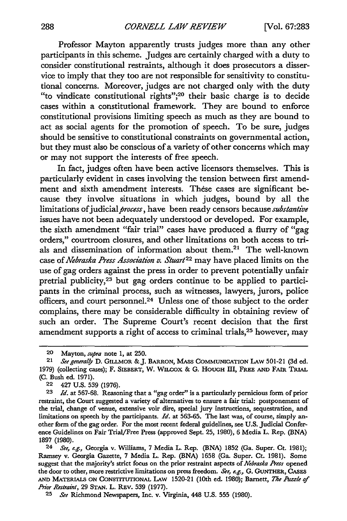Professor Mayton apparently trusts judges more than any other participants in this scheme. Judges are certainly charged with a duty to consider constitutional restraints, although it does prosecutors a disservice to imply that they too are not responsible for sensitivity to constitutional concerns. Moreover, judges are not charged only with the duty "to vindicate constitutional rights";<sup>20</sup> their basic charge is to decide cases within a constitutional framework. They are bound to enforce constitutional provisions limiting speech as much as they are bound to act as social agents for the promotion of speech. To be sure, judges should be sensitive to constitutional constraints on governmental action, but they must also be conscious of a variety of other concerns which may or may not support the interests of free speech.

In fact, judges often have been active licensors themselves. This is particularly evident in cases involving the tension between first amendment and sixth amendment interests. These cases are significant because they involve situations in which judges, bound by all the limitations of judicial *process*, have been ready censors because *substantive* issues have not been adequately understood or developed. For example, the sixth amendment "fair trial" cases have produced a flurry of "gag orders," courtroom closures, and other limitations on both access to trials and dissemination of information about them.<sup>21</sup> The well-known case of *Nebraska Press Association v. Stuart*<sup>22</sup> may have placed limits on the use of gag orders against the press in order to prevent potentially unfair pretrial publicity,<sup>23</sup> but gag orders continue to be applied to participants in the criminal process, such as witnesses, lawyers, jurors, police officers, and court personnel.<sup>24</sup> Unless one of those subject to the order complains, there may be considerable difficulty in obtaining review of such an order. The Supreme Court's recent decision that the first amendment supports a right of access to criminal trials, 25 however, may

22 427 U.S. 539 (1976).

<sup>20</sup> Mayton, *supra* note 1, at 250.

<sup>21</sup> *See generally* D. GILLMOR &J. BARRON, MASS **COMMUNICATION** LAw 501-21 (3d ed. 1979) (collecting cases); F. SIEBERT, W. WILcox & **G.** HOUGH III, FREE **AND** FAIR TRIAL **(C.** Bush ed. 1971).

<sup>23</sup> *Id.* at 567-68. Reasoning that a "gag order" is a particularly pernicious form of prior restraint, the Court suggested a variety of alternatives to ensure a fair trial: postponement of the trial, change of venue, extensive voir dire, special jury instructions, sequestration, and limitations on speech by the participants. *Id.* at 563-65. The last was, of course, simply another form of the gag order. For the most recent federal guidelines, see U.S. Judicial Conference Guidelines on Fair Trial/Free Press (approved Sept. 25, 1980), 6 Media L. Rep. (BNA) 1897 (1980).

*<sup>24</sup> See, e.g.,* Georgia v. Williams, 7 Media L. Rep. (BNA) 1852 (Ga. Super. Ct. 1981); Ramsey v. Georgia Gazette, **7** Media L. Rep. **(BNA) 1658** (Ga. Super. Ct. **1981).** Some suggest that the majority's strict focus on the prior restraint aspects of *Nebraska Aess* opened the door to other, more restrictive limitations on press freedom. *Se, e.g.,* **G.** GUNTHER, **CASES AND** MATERIALS **ON CONSTrruriONAL** LAw **1520-21** (10th ed. **1980);** Barnett, *The IA/e of P'or Restraint,* **29 STAN.** L. REV. **539 (1977).**

**<sup>25</sup>** *See* Richmond Newspapers, Inc. v. Virginia, 448 **U.S. 555 (1980).**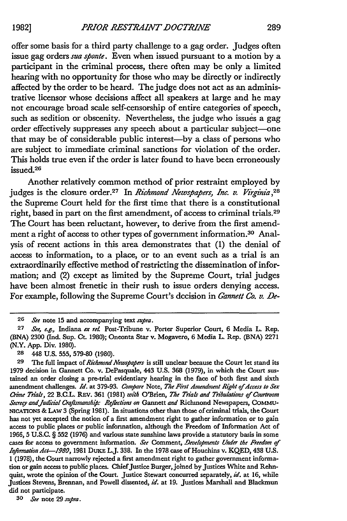offer some basis for a third party challenge to a gag order. Judges often issue gag orders *sua sponte.* Even when issued pursuant to a motion **by** a participant in the criminal process, there often may be only a limited hearing with no opportunity for those who may be directly or indirectly affected **by** the order to be heard. The judge does not act as an administrative licensor whose decisions affect all speakers at large and he may not encourage broad scale self-censorship of entire categories of speech, such as sedition or obscenity. Nevertheless, the judge who issues a gag order effectively suppresses any speech about a particular subject-one that may be of considerable public interest-by a class of persons who are subject to immediate criminal sanctions for violation of the order. This holds true even if the order is later found to have been erroneously issued.<sup>26</sup>

Another relatively common method of prior restraint employed **by** judges is the closure order.27 In *Richmond Newspapers, Inc. v. Virginia,<sup>28</sup>* the Supreme Court held for the first time that there is a constitutional right, based in part on the first amendment, of access to criminal trials. <sup>29</sup> The Court has been reluctant, however, to derive from the first amendment a right of access to other types of government information.30 Analysis of recent actions in this area demonstrates that **(1)** the denial of access to information, to a place, or to an event such as a trial is an extraordinarily effective method of restricting the dissemination of information; and (2) except as limited **by** the Supreme Court, trial judges have been almost frenetic in their rush to issue orders denying access. For example, following the Supreme Court's decision in *Gannett Co. v. De-*

**30** *ee* note **29** *supra.*

**<sup>26</sup>** *See* note 15 and accompanying text *supra.*

**<sup>27</sup>** *See, e.g.,* Indiana *ex reL* Post-Tribune v. Porter Superior Court, **6** Media L. Rep. **(BNA) 2300** (Ind. Sup. Ct. **1980);** Oneonta Star v. Mogavero, **6** Media L Rep. **(BNA) 2271** (N.Y. **App.** Div. 1980).

<sup>28 448</sup> **U.S. 555, 579-80 (1980).**

<sup>29</sup> The full impact of *Richmond Newspapers* is still unclear because the Court let stand its 1979 decision in Gannett Co. v. DePasquale, 443 **U.S. 368** (1979), in which the Court sustained an order closing a pre-trial evidentiary hearing in the face of both first and sixth amendment challenges. *Id.* at **379-93.** *Compare* Note, *The First Amendment Right of Access to Sex Crime Trialr,* 22 B.C.L. REV. **361** (1981) *with* O'Brien, *The Trials and Tribulations of Courtroom* Secrecy and Judicial Craftsmanship: Reflections on Gannett and Richmond Newspapers, COMMU-**NICATIONS &** LAw **3** (Spring **1981).** In situations other than those of criminal trials, the Court has not yet accepted the notion of a first amendment right to gather information or to gain access to public places or public information, although the Freedom of Information Act of **1966,** 5 **U.S.C.** § **552 (1976)** and various state sunshine laws provide a statutory basis in some cases for access to government information. *See* Comment, *Developments Under the Freedom of Information Act-1980,* 1981 **DuKE** LJ. **338.** In the **1978** case of Houchins v. **KQED,** 438 **U.S.** 1 **(1978),** the Court narrowly rejected a first amendment right to gather government information or gain access to public places. Chief Justice Burger, joined by Justices White and Rehnquist, wrote the opinion of the Court. Justice Stewart concurred separately, id. at 16, while Justices Stevens, Brennan, and Powell dissented, *id.* at **19.** Justices Marshall and Blackmun did not participate.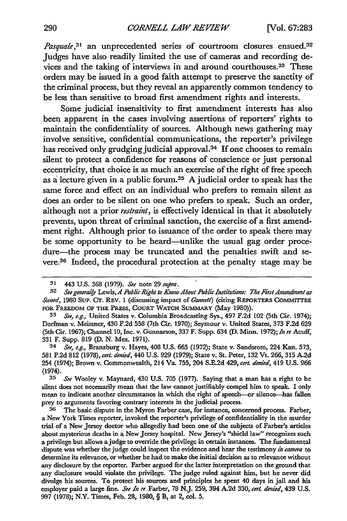*Pasquale*,<sup>31</sup> an unprecedented series of courtroom closures ensued.<sup>32</sup> Judges have also readily limited the use of cameras and recording devices and the taking of interviews in and around courthouses.<sup>33</sup> These orders may be issued in a good faith attempt to preserve the sanctity of the criminal process, but they reveal an apparently common tendency to be less than sensitive to broad first amendment rights and interests.

Some judicial insensitivity to first amendment interests has also been apparent in the cases involving assertions of reporters' rights to maintain the confidentiality of sources. Although news gathering may involve sensitive, confidential communications, the reporter's privilege has received only grudging judicial approval.<sup>34</sup>**If** one chooses to remain silent to protect a confidence for reasons of conscience or just personal eccentricity, that choice is as much an exercise of the right of free speech as a lecture given in a public forum.<sup>35</sup> A judicial order to speak has the same force and effect on an individual who prefers to remain silent as does an order to be silent on one who prefers to speak. Such an order, although not a prior *restraint,* is effectively identical in that it absolutely prevents, upon threat of criminal sanction, the exercise of a first amendment right. Although prior to issuance of the order to speak there may be some opportunity to be heard—unlike the usual gag order procedure-the process may be truncated and the penalties swift and severe.36 Indeed, the procedural protection at the penalty stage may be

**<sup>31</sup>** 443 **U.S.** 368 (1979). *See* note 29 *sufira.*

**<sup>32</sup>** *See generally Lewis, A Pa/ic Right to Know About Public Institutions: The First Amendment as Sword,* 1980 Sup. Cr. REV. 1 (discussing impact of *6annett)* (citing REPORTERS CoMMITTEE **FOR** FREEDOM **OF** THE PRESS, **COURT** WATCH SUMMARY (May 1980)).

**<sup>33</sup>** *See, e.g.,* United States v. Columbia Broadcasting Sys., 497 F.2d 102 (5th Cir. 1974); Dorfman v. Meiszner, 430 F.2d 558 (7th Cir. 1970); Seymour v. United States, 373 F.2d 629 (5th Cir. 1967); Channel **10,** Inc. v. Gunnarson, 337 F. Supp. 634 **(D.** Minn. 1972); *In re* Acuff, **331** F. Supp. 819 (D. N. Mex. 1971).

<sup>34</sup> *See, e.g.,* Branzburg v. Hayes, 408 U.S. 665 (1972); State v. Sandsrom, 224 Kan. **573,** 581 P.2d 812 (1978), *cert. denied,* 440 U.S. 929 (1979); State v. St. Peter, **132** Vt. 266, 315 A.2d 254 (1974); Brown v. Commonwealth, 214 Va. 755, 204 S.E.2d 429, *cert. denied,* 419 U.S. 966 (1974).

**<sup>35</sup>** *See* Wooley v. Maynard, 430 U.S. 705 (1977). Saying that a man has a right to be silent does not necessarily mean that the law cannot justifiably compel him to speak. I only mean to indicate another circumstance in which the right of speech-or silence--has fallen prey to arguments favoring contrary interests in the judicial process.

**<sup>36</sup>** The basic dispute in the Myron Farber case, for instance, concerned process. Farber, a New York Times reporter, invoked the reporter's privilege of confidentiality in the murder trial of a New Jersey doctor who allegedly had been one of the subjects of Farber's articles about mysterious deaths in a New Jersey hospital. New Jersey's "shield law" recognizes such a privilege but allows a judge to override the privilege in certain instances. The fundamental dispute was whether the judge could inspect the evidence and hear the testimony *in camera* to determine its relevance, or whether he had to make the initial decision as to relevance without any disclosure by the reporter. Farber argued for the latter interpretation on the ground that any disclosure would violate the privilege. The judge ruled against him, but he never did divulge his sources. To protect his sources and principles he spent 40 days in jail and his employer paid a large fine. *See In re* Farber, 78 **N.J.** 259, 394 A.2d 330, *cert denied,* 439 U.S. 997 (1978); N.Y. Times, Feb. 28, 1980, § B, at 2, col. 5.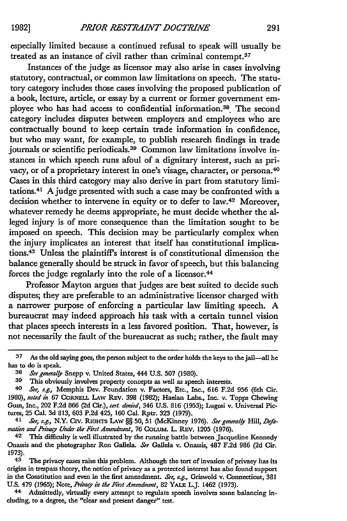especially limited because a continued refusal to speak will usually be treated as an instance of civil rather than criminal contempt.37

Instances of the judge as licensor may also arise in cases involving statutory, contractual, or common law limitations on speech. The statutory category includes those cases involving the proposed publication of a book, lecture, article, or essay **by** a current or former government employee who has had access to confidential information.38 The second category includes disputes between employers and employees who are contractually bound to keep certain trade information in confidence, but who may want, for example, to publish research findings in trade journals or scientific periodicals.<sup>39</sup> Common law limitations involve instances in which speech runs afoul of a dignitary interest, such as privacy, or of a proprietary interest in one's visage, character, or persona.40 Cases in this third category may also derive in part from statutory limitations.4 1 A judge presented with such a case may be confronted with a decision whether to intervene in equity or to defer to law.<sup>42</sup> Moreover, whatever remedy he deems appropriate, he must decide whether the alleged injury is of more consequence than the limitation sought to be imposed on speech. This decision may be particularly complex when the injury implicates an interest that itself has constitutional implications.43 Unless the plaintiff's interest is of constitutional dimension the balance generally should be struck in favor of speech, but this balancing forces the judge regnlarly into the role of a licensor.<sup>44</sup>

Professor Mayton argues that judges are best suited to decide such disputes; they are preferable to an administrative licensor charged with a narrower purpose of enforcing a particular law limiting speech. **A** bureaucrat may indeed approach his task with a certain tunnel vision that places speech interests in a less favored position. That, however, is not necessarily the fault of the bureaucrat as such; rather, the fault may

**<sup>37</sup>** As the old saying goes, the person subject to the order holds the keys to the jail-all he has to do is speak.

**<sup>38</sup>** *Set general.y* Snepp v. United States, 444 **U.S. 507 (1980).**

**<sup>39</sup>** This obviously involves property concepts as well as speech interests.

*<sup>40</sup> Set, e.g.,* Memphis Dev. Foundation v. Factors, Etc., Inc., **616 F.2d 956** (6th Cir. 1980), *noted in* 67 CORNELL LAW REV. 398 (1982); Haelan Labs., Inc. v. Topps Chewing Gum, Inc., 202 **F.2d 866 (2d** Cir.), *cert. dnied,* 346 **U.S. 816 (1953);** Lugosi v. Universal Pictures, **25** Cal. **3d 813, 603 P.2d** 425, **160** Cal. Rptr. **323 (1979).**

<sup>&</sup>lt;sup>41</sup> *See, e.g., N.Y. CIV. RIGHTS LAW §§ 50, 51 (McKinney 1976). See generally Hill, Defamation and hn'va Under the First Amendment,* **76 COLUM. L.** Rav. 1205 **(1976).**

**<sup>42</sup>** This difficulty is well illustrated **by** the running battle between Jacqueline Kennedy Onassis and the photographer Ron Gallela. *See* Gallela v. Onassis, **487 F.2d 986 (2d** Cir. **1973).**

**<sup>43</sup>** The privacy cases raise this problem. Although the tort of invasion of privacy has its origins in trespass theory, the notion of privacy as a protected interest has also found support in the Constitution and even in the first amendment. *See, e.g.,* Griswold v. Connecticut, **381 U.S.** 479 **(1965);** Note, *fhz, in the First Amendment,* **82** YAL L.J. 1462 **(1973).**

**<sup>44</sup>** Admittedly, virtually every attempt to regulate speech involves some balancing including, to a degree, the "clear and present danger" test.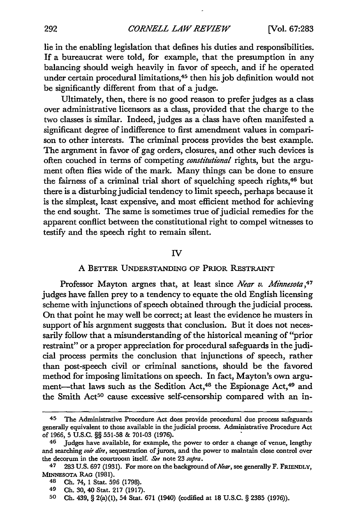lie in the enabling legislation that defines his duties and responsibilities. If a bureaucrat were told, for example, that the presumption in any balancing should weigh heavily in favor of speech, and if he operated under certain procedural limitations, 45 then his job definition would not be significantly different from that of a judge.

Ultimately, then, there is no good reason to prefer judges as a class over administrative licensors as a class, provided that the charge to the two classes is similar. Indeed, judges as a class have often manifested a significant degree of indifference to first amendment values in comparison to other interests. The criminal process provides the best example. The argument in favor of gag orders, closures, and other such devices is often couched in terms of competing *constitutional* rights, but the argument often flies wide of the mark. Many things can be done to ensure the fairness of a criminal trial short of squelching speech rights, 46 but there is a disturbing judicial tendency to limit speech, perhaps because it is the simplest, least expensive, and most efficient method for achieving the end sought. The same is sometimes true of judicial remedies for the apparent conflict between the constitutional right to compel witnesses to testify and the speech right to remain silent.

#### IV

#### A BETTER UNDERSTANDING OF PRIOR RESTRAINT

Professor Mayton argnes that, at least since *Near v. Minnesota*,<sup>47</sup> judges have fallen prey to a tendency to equate the old English licensing scheme with injunctions of speech obtained through the judicial process. On that point he may well be correct; at least the evidence he musters in support of his argnment suggests that conclusion. But it does not necessarily follow that a misunderstanding of the historical meaning of "prior restraint" or a proper appreciation for procedural safeguards in the judicial process permits the conclusion that injunctions of speech, rather than post-speech civil or criminal sanctions, should be the favored method for imposing limitations on speech. In fact, Mayton's own argument-that laws such as the Sedition Act,<sup>48</sup> the Espionage Act,<sup>49</sup> and the Smith Act<sup>50</sup> cause excessive self-censorship compared with an in-

<sup>45</sup> The Administrative Procedure Act does provide procedural due process safeguards generally equivalent to those available in the judicial process. Administrative Procedure Act of **1966, 5 U.S.C.** §§ 551-58 **& 701-03 (1976).**

**<sup>46</sup>** Judges have available, for example, the power to order a change of venue, lengthy and searching *voir dire,* sequestration of jurors, and the power to maintain close control over the decorum in the courtroom itself. *See* note 23 *supra.*

**<sup>47 283</sup>** U.S. **697 (1931).** For more on the background *of Near,* see generally F. **FRiENDLY,** MINNESOTA RAG **(1981).**

<sup>48</sup> **Ch.** 74, **1** Stat. **596 (1798).**

**<sup>49</sup> Ch. 30,** 40 Stat. **217 (1917).**

**<sup>50</sup> Ch.** 439, § 2(a)(1), 54 Stat. **671** (1940) (codified at **18** U.S.C. § **2385 (1976)).**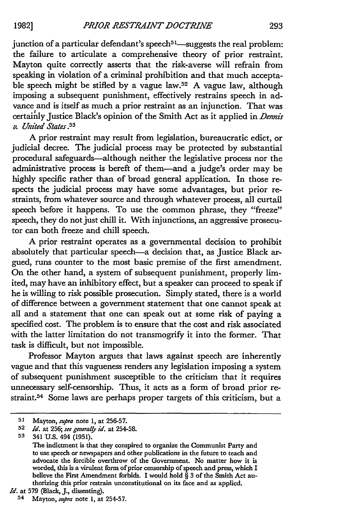junction of a particular defendant's speech<sup>51</sup>—suggests the real problem: the failure to articulate a comprehensive theory of prior restraint. Mayton quite correctly asserts that the risk-averse will refrain from speaking in violation of a criminal prohibition and that much acceptable speech might be stifled by a vague law.<sup>52</sup> A vague law, although imposing a subsequent punishment, effectively restrains speech in advance and is itself as much a prior restraint as an injunction. That was certainly Justice Black's opinion of the Smith Act as it applied in *Dennis v. United States.5 3*

A prior restraint may result from legislation, bureaucratic edict, or judicial decree. The judicial process may be protected by substantial procedural safeguards-although neither the legislative process nor the administrative process is bereft of them-and a judge's order may be highly specific rather than of broad general application. In those respects the judicial process may have some advantages, but prior restraints, from whatever source and through whatever process, all curtail speech before it happens. To use the common phrase, they "freeze" speech, they do not just chill it. With injunctions, an aggressive prosecutor can both freeze and chill speech.

A prior restraint operates as a governmental decision to prohibit absolutely that particular speech-a decision that, as Justice Black argued, runs counter to the most basic premise of the first amendment. On the other hand, a system of subsequent punishment, properly limited, may have an inhibitory effect, but a speaker can proceed to speak if he is willing to risk possible prosecution. Simply stated, there is a world of difference between a government statement that one cannot speak at all and a statement that one can speak out at some risk of paying a specified cost. The problem is to ensure that the cost and risk associated with the latter limitation do not transmogrify it into the former. That task is difficult, but not impossible.

Professor Mayton argues that laws against speech are inherently vague and that this vagueness renders any legislation imposing a system of subsequent punishment susceptible to the criticism that it requires unnecessary self-censorship. Thus, it acts as a form of broad prior restraint. 54 Some laws are perhaps proper targets of this criticism, but a

*Id.* at 579 (Black, **J.,** dissenting).

**<sup>51</sup>** Mayton, *supra* note 1, at 256-57.

**<sup>52</sup>** *Id.* at 256; *see generaly id.* at 254-58.

**<sup>53</sup>** 341 **U.S.** 494 (1951).

The indictment is that they conspired to organize the Communist Party and to use speech or newspapers and other publications in the future to teach and advocate the forcible overthrow of the Government. No matter how it is worded, this is a virulent form of prior censorship of speech and press, which I believe the First Amendment forbids. I would hold  $\hat{S}$  3 of the Smith Act authorizing this prior restrain unconstitutional on its face and as applied.

<sup>54</sup> Mayton, *supra* note 1, at 254-57.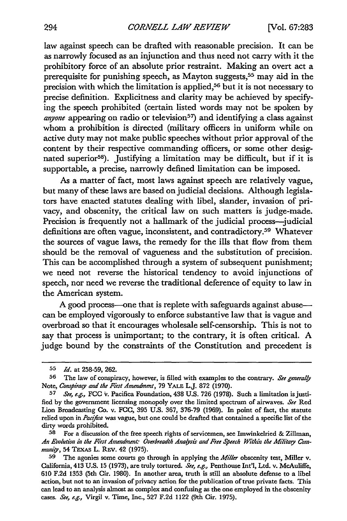law against speech can be drafted with reasonable precision. It can be as narrowly focused as an injunction and thus need not carry with it the prohibitory force of an absolute prior restraint. Making an overt act a prerequisite for punishing speech, as Mayton suggests,<sup>55</sup> may aid in the precision with which the limitation is applied,<sup>56</sup> but it is not necessary to precise definition. Explicitness and clarity may be achieved by specifying the speech prohibited (certain listed words may not be spoken by *anyone* appearing on radio or television<sup>57</sup>) and identifying a class against whom a prohibition is directed (military officers in uniform while on active duty may not make public speeches without prior approval of the content by their respective commanding officers, or some other designated superior<sup>58</sup>). Justifying a limitation may be difficult, but if it is supportable, a precise, narrowly defined limitation can be imposed.

As a matter of fact, most laws against speech are relatively vague, but many of these laws are based on judicial decisions. Although legislators have enacted statutes dealing with libel, slander, invasion of privacy, and obscenity, the critical law on such matters is judge-made. Precision is frequently not a hallmark of the judicial process-judicial definitions are often vague, inconsistent, and contradictory.<sup>59</sup> Whatever the sources of vague laws, the remedy for the ills that flow from them should be the removal of vagueness and the substitution of precision. This can be accomplished through a system of subsequent punishment; we need not reverse the historical tendency to avoid injunctions of speech, nor need we reverse the traditional deference of equity to law in the American system.

A good process-one that is replete with safeguards against abusecan be employed vigorously to enforce substantive law that is vague and overbroad so that it encourages wholesale self-censorship. This is not to say that process is unimportant; to the contrary, it is often critical. A judge bound by the constraints of the Constitution and precedent is

**<sup>55</sup>** *Id.* at 258-59, 262.

**<sup>56</sup>** The law of conspiracy, however, is filled with examples to the contrary. *See generally* Note, *Conspirafy and the First Amendment,* 79 YALE L.J. 872 (1970).

**<sup>57</sup>** *See, e.g.,* **FCC** iv. Pacifica Foundation, 438 U.S. 726 (1978). Such a limitation isjusti**fled** by the government licensing monopoly over the limited spectrum of airwaves. *See* Red Lion Broadcasting **Co.** v. FCC, 395 U.S. 367, 376-79 (1969). In point of fact, the statute relied upon in *Pacifa* was vague, but one could be drafted that contained a specific list of the dirty words prohibited.

**<sup>58</sup>** For a discussion of the free speech rights of servicemen, see Imwinkelried **&** Zillman, *An Evolution in the First Amendment: Ovebreadth Analjsis and Free Speech Within the Militay Community,* 54 **TEXAs** L. REv. 42 (1975).

**<sup>59</sup>** The agonies some courts go through in applying the *Miller* obscenity test, Miller v. California, 413 U.S. 15 (1973), are truly tortured. *See, e.g.,* Penthouse Int'l, Ltd. v. McAuliffe, 610 F.2d 1353 (5th Cir. 1980). In another area, truth is still an absolute defense to a libel action, but not to an invasion of privacy action for the publication of true private facts. This can lead to an analysis almost as complex and confusing as the one employed in the obscenity cases. *See, e.g.,* Virgil v. Time, Inc., 527 F.2d 1122 (9th Cir. 1975).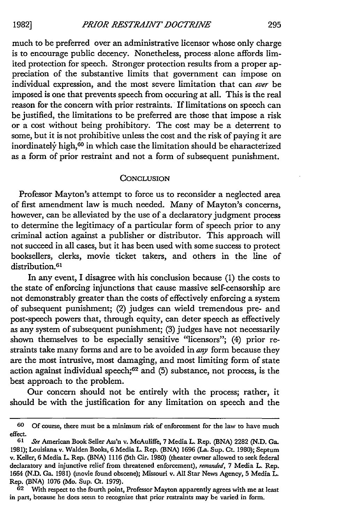much to be preferred over an administrative licensor whose only charge is to encourage public decency. Nonetheless, process alone affords limited protection for speech. Stronger protection results from a proper appreciation of the substantive limits that government can impose on individual expression, and the most severe limitation that can *ever* be imposed is one that prevents speech from occuring at all. This is the real reason for the concern with prior restraints. If limitations on speech can be justified, the limitations to be preferred are those that impose a risk or a cost without being prohibitory. The cost may be a deterrent to some, but it is not prohibitive unless the cost and the risk of paying it are inordinately high,<sup>60</sup> in which case the limitation should be eharacterized as a form of prior restraint and not a form of subsequent punishment.

#### **CONCLUSION**

Professor Mayton's attempt to force us to reconsider a neglected area of first amendment law is much needed. Many of Mayton's concerns, however, can be alleviated by the use of a declaratory judgment process to determine the legitimacy of a particular form of speech prior to any criminal action against a publisher or distributor. This approach will not succeed in all cases, but it has been used with some success to protect booksellers, clerks, movie ticket takers, and others in the line of distribution.<sup>61</sup>

In any event, I disagree with his conclusion because (1) the costs to the state of enforcing injunctions that cause massive self-censorship are not demonstrably greater than the costs of effectively enforcing a system of subsequent punishment; (2) judges can wield tremendous pre- and post-speech powers that, through equity, can deter speech as effectively as any system of subsequent punishment; (3) judges have not necessarily shown themselves to be especially sensitive "licensors"; (4) prior restraints take many forms and are to be avoided in *any* form because they are the most intrusive, most damaging, and most limiting form of state action against individual speech;<sup>62</sup> and (5) substance, not process, is the best approach to the problem.

Our concern should not be entirely with the process; rather, it should be with the justification for any limitation on speech and the

**<sup>60</sup>** Of course, there must be a minimum risk of enforcement for the law to have much effect.

**<sup>61</sup>** See American Book Seller Ass'n v. McAuliffe, 7 Media L. Rep. (BNA) **2282** (N.D. Ga. 1981); Louisiana v. Walden Books, 6 Media L. Rep. (BNA) 1696 (La. Sup. Ct. 1980); Septum v. Keller, 6 Media L. Rep. (BNA) 1116 (5th Cir. 1980) (theater owner allowed to seek federal declaratory and injunctive relief from threatened enforcement), remanded, 7 Media L. Rep. 1664 (N.D. Ga. 1981) (movie found obscene); Missouri v. All Star News Agency, 5 Media L. Rep. (BNA) 1076 (Mo. Sup. Ct. 1979).

**<sup>62</sup>** With respect to the fourth point, Professor Mayton apparently agrees with me at least in part, because he does seem to recognize that prior restraints may be varied in form.